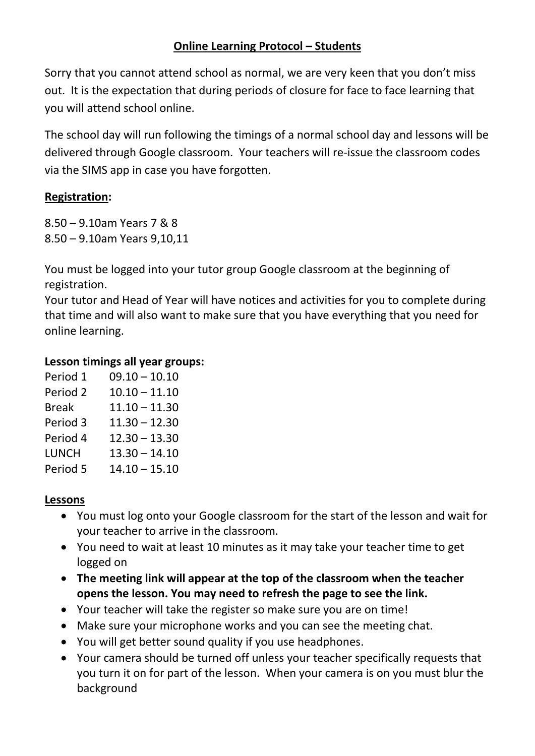# **Online Learning Protocol – Students**

Sorry that you cannot attend school as normal, we are very keen that you don't miss out. It is the expectation that during periods of closure for face to face learning that you will attend school online.

The school day will run following the timings of a normal school day and lessons will be delivered through Google classroom. Your teachers will re-issue the classroom codes via the SIMS app in case you have forgotten.

### **Registration:**

8.50 – 9.10am Years 7 & 8 8.50 – 9.10am Years 9,10,11

You must be logged into your tutor group Google classroom at the beginning of registration.

Your tutor and Head of Year will have notices and activities for you to complete during that time and will also want to make sure that you have everything that you need for online learning.

### **Lesson timings all year groups:**

| Period 1            | $09.10 - 10.10$ |
|---------------------|-----------------|
| Period <sub>2</sub> | $10.10 - 11.10$ |
| <b>Break</b>        | $11.10 - 11.30$ |
| Period 3            | $11.30 - 12.30$ |
| Period 4            | $12.30 - 13.30$ |
| LUNCH               | $13.30 - 14.10$ |
| Period 5            | $14.10 - 15.10$ |

# **Lessons**

- You must log onto your Google classroom for the start of the lesson and wait for your teacher to arrive in the classroom.
- You need to wait at least 10 minutes as it may take your teacher time to get logged on
- **The meeting link will appear at the top of the classroom when the teacher opens the lesson. You may need to refresh the page to see the link.**
- Your teacher will take the register so make sure you are on time!
- Make sure your microphone works and you can see the meeting chat.
- You will get better sound quality if you use headphones.
- Your camera should be turned off unless your teacher specifically requests that you turn it on for part of the lesson. When your camera is on you must blur the background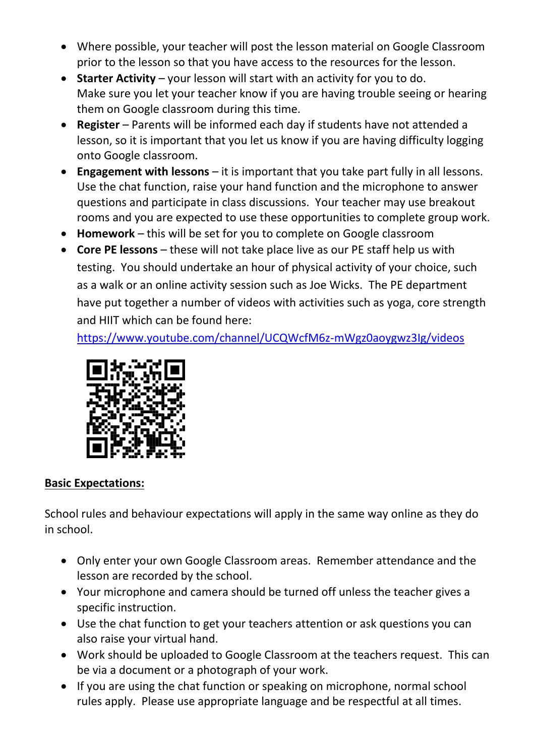- Where possible, your teacher will post the lesson material on Google Classroom prior to the lesson so that you have access to the resources for the lesson.
- **Starter Activity** your lesson will start with an activity for you to do. Make sure you let your teacher know if you are having trouble seeing or hearing them on Google classroom during this time.
- **Register** Parents will be informed each day if students have not attended a lesson, so it is important that you let us know if you are having difficulty logging onto Google classroom.
- **Engagement with lessons** it is important that you take part fully in all lessons. Use the chat function, raise your hand function and the microphone to answer questions and participate in class discussions. Your teacher may use breakout rooms and you are expected to use these opportunities to complete group work.
- **Homework** this will be set for you to complete on Google classroom
- **Core PE lessons** these will not take place live as our PE staff help us with testing. You should undertake an hour of physical activity of your choice, such as a walk or an online activity session such as Joe Wicks. The PE department have put together a number of videos with activities such as yoga, core strength and HIIT which can be found here:

<https://www.youtube.com/channel/UCQWcfM6z-mWgz0aoygwz3Ig/videos>



#### **Basic Expectations:**

School rules and behaviour expectations will apply in the same way online as they do in school.

- Only enter your own Google Classroom areas. Remember attendance and the lesson are recorded by the school.
- Your microphone and camera should be turned off unless the teacher gives a specific instruction.
- Use the chat function to get your teachers attention or ask questions you can also raise your virtual hand.
- Work should be uploaded to Google Classroom at the teachers request. This can be via a document or a photograph of your work.
- If you are using the chat function or speaking on microphone, normal school rules apply. Please use appropriate language and be respectful at all times.